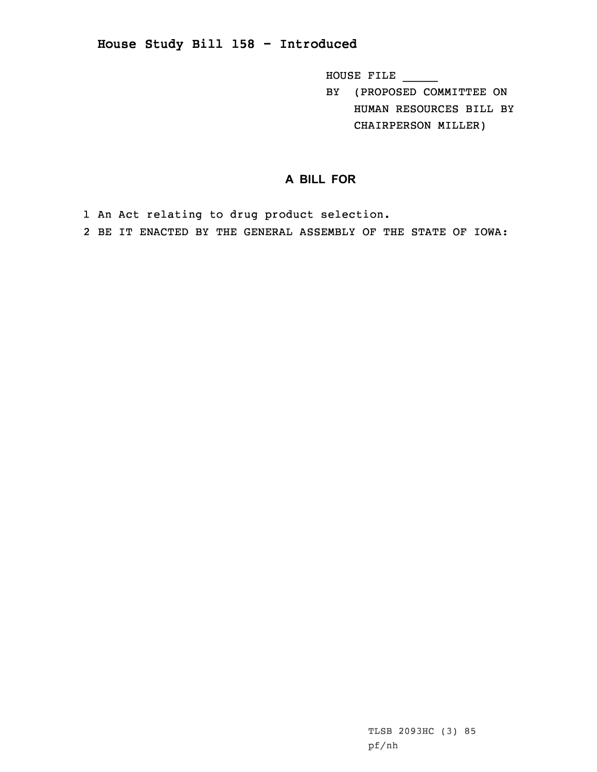## **House Study Bill 158 - Introduced**

HOUSE FILE \_\_\_\_\_

BY (PROPOSED COMMITTEE ON HUMAN RESOURCES BILL BY CHAIRPERSON MILLER)

## **A BILL FOR**

1 An Act relating to drug product selection.

2 BE IT ENACTED BY THE GENERAL ASSEMBLY OF THE STATE OF IOWA: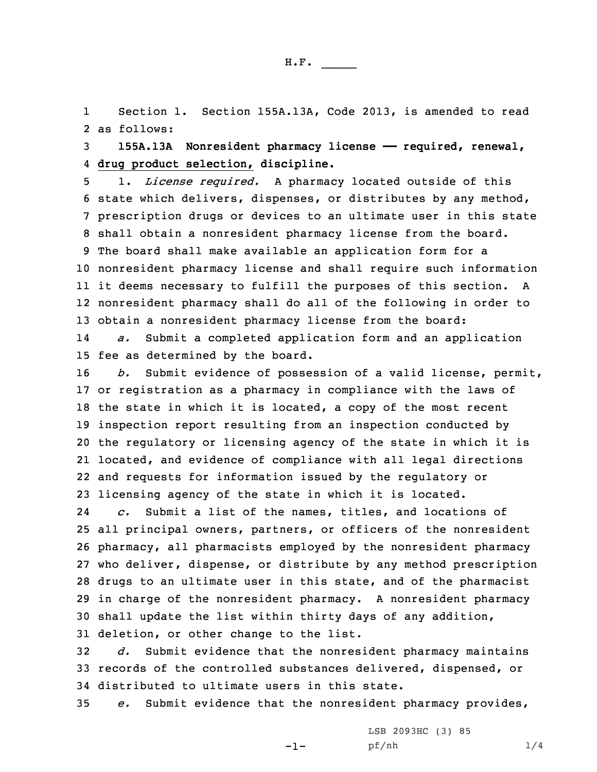1 Section 1. Section 155A.13A, Code 2013, is amended to read 2 as follows:

3 **155A.13A Nonresident pharmacy license —— required, renewal,** 4 **drug product selection, discipline.**

 1. *License required.* <sup>A</sup> pharmacy located outside of this state which delivers, dispenses, or distributes by any method, prescription drugs or devices to an ultimate user in this state shall obtain <sup>a</sup> nonresident pharmacy license from the board. The board shall make available an application form for <sup>a</sup> nonresident pharmacy license and shall require such information it deems necessary to fulfill the purposes of this section. <sup>A</sup> nonresident pharmacy shall do all of the following in order to obtain <sup>a</sup> nonresident pharmacy license from the board:

14 *a.* Submit <sup>a</sup> completed application form and an application 15 fee as determined by the board.

 *b.* Submit evidence of possession of <sup>a</sup> valid license, permit, or registration as <sup>a</sup> pharmacy in compliance with the laws of the state in which it is located, <sup>a</sup> copy of the most recent inspection report resulting from an inspection conducted by the regulatory or licensing agency of the state in which it is located, and evidence of compliance with all legal directions and requests for information issued by the regulatory or licensing agency of the state in which it is located.

24 *c.* Submit <sup>a</sup> list of the names, titles, and locations of all principal owners, partners, or officers of the nonresident pharmacy, all pharmacists employed by the nonresident pharmacy who deliver, dispense, or distribute by any method prescription drugs to an ultimate user in this state, and of the pharmacist in charge of the nonresident pharmacy. <sup>A</sup> nonresident pharmacy shall update the list within thirty days of any addition, deletion, or other change to the list.

32 *d.* Submit evidence that the nonresident pharmacy maintains 33 records of the controlled substances delivered, dispensed, or 34 distributed to ultimate users in this state.

35 *e.* Submit evidence that the nonresident pharmacy provides,

-1-

LSB 2093HC (3) 85 pf/nh 1/4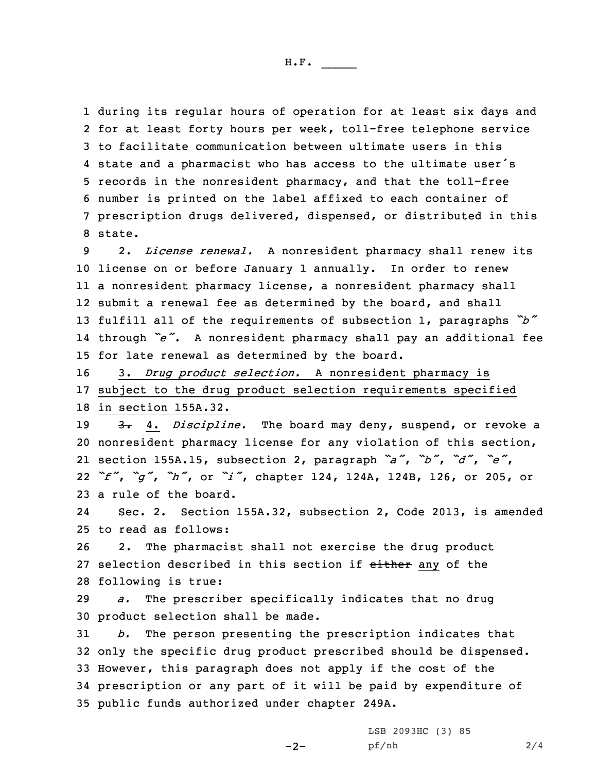during its regular hours of operation for at least six days and for at least forty hours per week, toll-free telephone service to facilitate communication between ultimate users in this state and <sup>a</sup> pharmacist who has access to the ultimate user's records in the nonresident pharmacy, and that the toll-free number is printed on the label affixed to each container of prescription drugs delivered, dispensed, or distributed in this 8 state.

 2. *License renewal.* <sup>A</sup> nonresident pharmacy shall renew its license on or before January 1 annually. In order to renew <sup>a</sup> nonresident pharmacy license, <sup>a</sup> nonresident pharmacy shall submit <sup>a</sup> renewal fee as determined by the board, and shall fulfill all of the requirements of subsection 1, paragraphs *"b"* through *"e"*. <sup>A</sup> nonresident pharmacy shall pay an additional fee for late renewal as determined by the board.

16 3. *Drug product selection.* <sup>A</sup> nonresident pharmacy is 17 subject to the drug product selection requirements specified 18 in section 155A.32.

 3. 4. *Discipline.* The board may deny, suspend, or revoke <sup>a</sup> nonresident pharmacy license for any violation of this section, section 155A.15, subsection 2, paragraph *"a"*, *"b"*, *"d"*, *"e"*, *"f"*, *"g"*, *"h"*, or *"i"*, chapter 124, 124A, 124B, 126, or 205, or a rule of the board.

24 Sec. 2. Section 155A.32, subsection 2, Code 2013, is amended 25 to read as follows:

26 2. The pharmacist shall not exercise the drug product 27 selection described in this section if either any of the 28 following is true:

29 *a.* The prescriber specifically indicates that no drug 30 product selection shall be made.

 *b.* The person presenting the prescription indicates that only the specific drug product prescribed should be dispensed. However, this paragraph does not apply if the cost of the prescription or any part of it will be paid by expenditure of public funds authorized under chapter 249A.

 $-2-$ 

LSB 2093HC (3) 85 pf/nh 2/4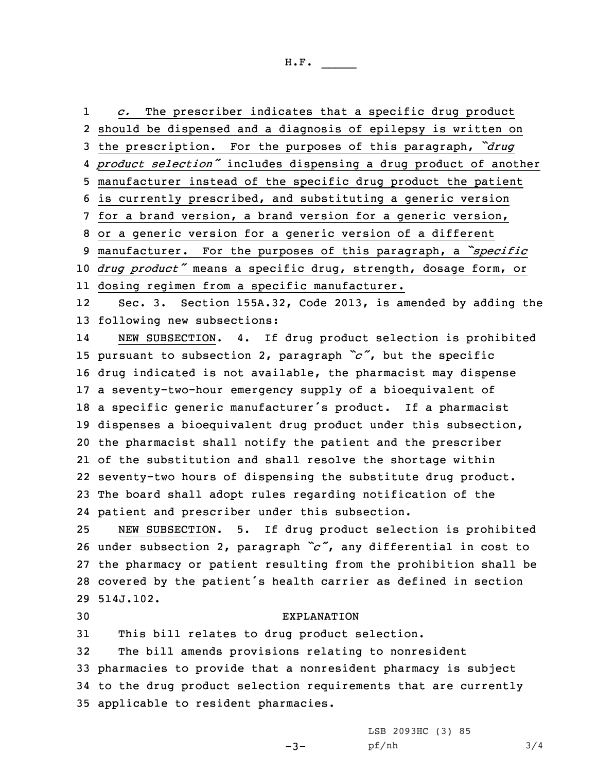1 *c.* The prescriber indicates that <sup>a</sup> specific drug product should be dispensed and <sup>a</sup> diagnosis of epilepsy is written on the prescription. For the purposes of this paragraph, *"drug product selection"* includes dispensing <sup>a</sup> drug product of another manufacturer instead of the specific drug product the patient is currently prescribed, and substituting <sup>a</sup> generic version for <sup>a</sup> brand version, <sup>a</sup> brand version for <sup>a</sup> generic version, or <sup>a</sup> generic version for <sup>a</sup> generic version of <sup>a</sup> different manufacturer. For the purposes of this paragraph, <sup>a</sup> *"specific drug product"* means <sup>a</sup> specific drug, strength, dosage form, or dosing regimen from <sup>a</sup> specific manufacturer. 12 Sec. 3. Section 155A.32, Code 2013, is amended by adding the following new subsections: 14 NEW SUBSECTION. 4. If drug product selection is prohibited pursuant to subsection 2, paragraph *"c"*, but the specific drug indicated is not available, the pharmacist may dispense <sup>a</sup> seventy-two-hour emergency supply of <sup>a</sup> bioequivalent of <sup>a</sup> specific generic manufacturer's product. If <sup>a</sup> pharmacist dispenses <sup>a</sup> bioequivalent drug product under this subsection, the pharmacist shall notify the patient and the prescriber of the substitution and shall resolve the shortage within seventy-two hours of dispensing the substitute drug product. The board shall adopt rules regarding notification of the patient and prescriber under this subsection.

 NEW SUBSECTION. 5. If drug product selection is prohibited under subsection 2, paragraph *"c"*, any differential in cost to the pharmacy or patient resulting from the prohibition shall be covered by the patient's health carrier as defined in section 514J.102.

## 30 EXPLANATION

31 This bill relates to drug product selection.

 The bill amends provisions relating to nonresident pharmacies to provide that <sup>a</sup> nonresident pharmacy is subject to the drug product selection requirements that are currently applicable to resident pharmacies.

-3-

LSB 2093HC (3) 85 pf/nh 3/4